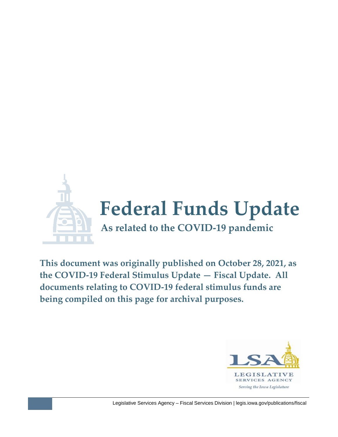

**This document was originally published on October 28, 2021, as the COVID-19 Federal Stimulus Update — Fiscal Update. All documents relating to COVID-19 federal stimulus funds are being compiled on this page for archival purposes.**

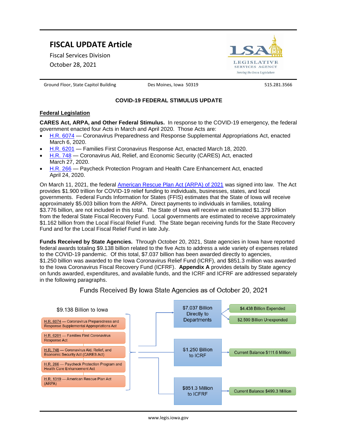# **FISCAL UPDATE Article**

Fiscal Services Division

October 28, 2021



Ground Floor, State Capitol Building **Des Moines, Iowa 50319** 515.281.3566

### **COVID-19 FEDERAL STIMULUS UPDATE**

#### **Federal Legislation**

**CARES Act, ARPA, and Other Federal Stimulus.** In response to the COVID-19 emergency, the federal government enacted four Acts in March and April 2020. Those Acts are:

- [H.R. 6074](https://www.congress.gov/116/plaws/publ123/PLAW-116publ123.pdf) Coronavirus Preparedness and Response Supplemental Appropriations Act, enacted March 6, 2020.
- [H.R. 6201](https://www.congress.gov/116/bills/hr6201/BILLS-116hr6201enr.pdf) Families First Coronavirus Response Act, enacted March 18, 2020.
- [H.R. 748](https://www.congress.gov/116/bills/hr748/BILLS-116hr748enr.pdf) Coronavirus Aid, Relief, and Economic Security (CARES) Act, enacted March 27, 2020.
- [H.R. 266](https://www.congress.gov/116/bills/hr266/BILLS-116hr266enr.pdf) Paycheck Protection Program and Health Care Enhancement Act, enacted April 24, 2020.

On March 11, 2021, the federal [American Rescue Plan Act \(ARPA\) of 2021](https://www.congress.gov/bill/117th-congress/house-bill/1319/text) was signed into law. The Act provides \$1.900 trillion for COVID-19 relief funding to individuals, businesses, states, and local governments. Federal Funds Information for States (FFIS) estimates that the State of Iowa will receive approximately \$5.003 billion from the ARPA. Direct payments to individuals in families, totaling \$3.776 billion, are not included in this total. The State of Iowa will receive an estimated \$1.379 billion from the federal State Fiscal Recovery Fund. Local governments are estimated to receive approximately \$1.162 billion from the Local Fiscal Relief Fund. The State began receiving funds for the State Recovery Fund and for the Local Fiscal Relief Fund in late July.

**Funds Received by State Agencies.** Through October 20, 2021, State agencies in Iowa have reported federal awards totaling \$9.138 billion related to the five Acts to address a wide variety of expenses related to the COVID-19 pandemic. Of this total, \$7.037 billion has been awarded directly to agencies, \$1.250 billion was awarded to the Iowa Coronavirus Relief Fund (ICRF), and \$851.3 million was awarded to the Iowa Coronavirus Fiscal Recovery Fund (ICFRF). **Appendix A** provides details by State agency on funds awarded, expenditures, and available funds, and the ICRF and ICFRF are addressed separately in the following paragraphs.

Funds Received By Iowa State Agencies as of October 20, 2021

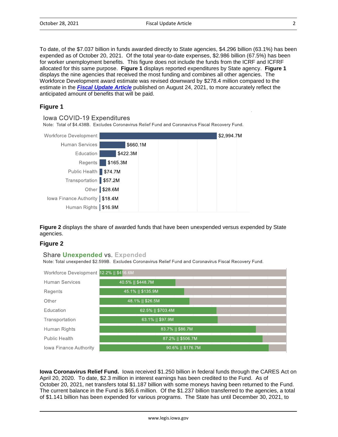To date, of the \$7.037 billion in funds awarded directly to State agencies, \$4.296 billion (63.1%) has been expended as of October 20, 2021. Of the total year-to-date expenses, \$2.986 billion (67.5%) has been for worker unemployment benefits. This figure does not include the funds from the ICRF and ICFRF allocated for this same purpose. **Figure 1** displays reported expenditures by State agency. **Figure 1** displays the nine agencies that received the most funding and combines all other agencies. The Workforce Development award estimate was revised downward by \$278.4 million compared to the estimate in the *[Fiscal Update Article](https://www.legis.iowa.gov/docs/publications/BL/1226397.pdf)* published on August 24, 2021, to more accurately reflect the anticipated amount of benefits that will be paid.

### **Figure 1**

Iowa COVID-19 Expenditures

Note: Total of \$4.438B. Excludes Coronavirus Relief Fund and Coronavirus Fiscal Recovery Fund.

| Workforce Development            |               |  | \$2,994.7M |  |
|----------------------------------|---------------|--|------------|--|
| <b>Human Services</b>            | \$660.1M      |  |            |  |
| Education                        | \$422.3M      |  |            |  |
| Regents                          | \$165.3M      |  |            |  |
| Public Health \$74.7M            |               |  |            |  |
| Transportation \$57.2M           |               |  |            |  |
|                                  | Other \$28.6M |  |            |  |
| lowa Finance Authority   \$18.4M |               |  |            |  |
| Human Rights   \$16.9M           |               |  |            |  |

**Figure 2** displays the share of awarded funds that have been unexpended versus expended by State agencies.

### **Figure 2**

#### Share Unexpended vs. Expended

Note: Total unexpended \$2.599B. Excludes Coronavirus Relief Fund and Coronavirus Fiscal Recovery Fund.



**Iowa Coronavirus Relief Fund.** Iowa received \$1.250 billion in federal funds through the CARES Act on April 20, 2020. To date, \$2.3 million in interest earnings has been credited to the Fund. As of October 20, 2021, net transfers total \$1.187 billion with some moneys having been returned to the Fund. The current balance in the Fund is \$65.6 million. Of the \$1.237 billion transferred to the agencies, a total of \$1.141 billion has been expended for various programs. The State has until December 30, 2021, to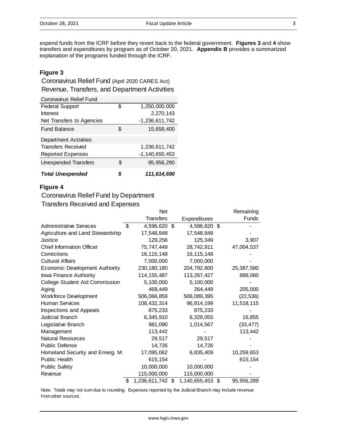expend funds from the ICRF before they revert back to the federal government. **Figures 3** and **4** show transfers and expenditures by program as of October 20, 2021. **Appendix B** provides a summarized explanation of the programs funded through the ICRF.

### **Figure 3**

Revenue, Transfers, and Department Activities Coronavirus Relief Fund (April 2020 CARES Act)

| <b>Coronavirus Relief Fund</b> |    |                     |
|--------------------------------|----|---------------------|
| <b>Federal Support</b>         | \$ | 1,250,000,000       |
| Interest                       |    | 2,270,143           |
| Net Transfers to Agencies      |    | -1,236,611,742      |
| <b>Fund Balance</b>            | S. | 15,658,400          |
| <b>Department Activities</b>   |    |                     |
| <b>Transfers Received</b>      |    | 1,236,611,742       |
| <b>Reported Expenses</b>       |    | $-1, 140, 655, 453$ |
| <b>Unexpended Transfers</b>    | \$ | 95,956,290          |
| <b>Total Unexpended</b>        | S  | 111,614,690         |

#### **Figure 4**

## Coronavirus Relief Fund by Department

## Transfers Received and Expenses

|                                       | <b>Net</b>             |                     | Remaining  |
|---------------------------------------|------------------------|---------------------|------------|
|                                       | <b>Transfers</b>       | <b>Expenditures</b> | Funds      |
| <b>Administrative Services</b>        | \$<br>4,596,620 \$     | 4,596,620 \$        |            |
| Agriculture and Land Stewardship      | 17,548,848             | 17,548,848          |            |
| Justice                               | 129,256                | 125,349             | 3,907      |
| <b>Chief Information Officer</b>      | 75,747,449             | 28,742,911          | 47,004,537 |
| Corrections                           | 16, 115, 148           | 16, 115, 148        |            |
| <b>Cultural Affairs</b>               | 7,000,000              | 7,000,000           |            |
| <b>Economic Development Authority</b> | 230, 180, 180          | 204,792,600         | 25,387,580 |
| lowa Finance Authority                | 114, 155, 487          | 113,267,427         | 888,060    |
| College Student Aid Commission        | 5,100,000              | 5,100,000           |            |
| Aging                                 | 469,449                | 264,449             | 205,000    |
| <b>Workforce Development</b>          | 506,066,859            | 506,089,395         | (22, 536)  |
| <b>Human Services</b>                 | 108,432,314            | 96,914,199          | 11,518,115 |
| Inspections and Appeals               | 875,233                | 875,233             |            |
| Judicial Branch                       | 6,345,910              | 6,329,055           | 16,855     |
| Legislative Branch                    | 981,090                | 1,014,567           | (33, 477)  |
| Management                            | 113,442                |                     | 113,442    |
| <b>Natural Resources</b>              | 29,517                 | 29,517              |            |
| Public Defense                        | 14,726                 | 14,726              |            |
| Homeland Security and Emerg. M.       | 17,095,062             | 6,835,409           | 10,259,653 |
| Public Health                         | 615,154                |                     | 615,154    |
| <b>Public Safety</b>                  | 10,000,000             | 10,000,000          |            |
| Revenue                               | 115,000,000            | 115,000,000         |            |
|                                       | \$<br>1,236,611,742 \$ | 1,140,655,453 \$    | 95,956,289 |

Note: Totals may not sum due to rounding. Expenses reported by the Judicial Branch may include revenue from other sources.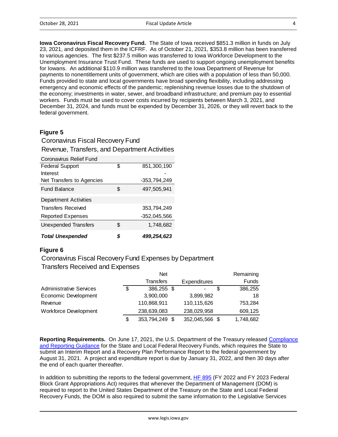**Iowa Coronavirus Fiscal Recovery Fund.** The State of Iowa received \$851.3 million in funds on July 23, 2021, and deposited them in the ICFRF. As of October 21, 2021, \$353.8 million has been transferred to various agencies. The first \$237.5 million was transferred to Iowa Workforce Development to the Unemployment Insurance Trust Fund. These funds are used to support ongoing unemployment benefits for Iowans. An additional \$110.9 million was transferred to the Iowa Department of Revenue for payments to nonentitlement units of government, which are cities with a population of less than 50,000. Funds provided to state and local governments have broad spending flexibility, including addressing emergency and economic effects of the pandemic; replenishing revenue losses due to the shutdown of the economy; investments in water, sewer, and broadband infrastructure; and premium pay to essential workers. Funds must be used to cover costs incurred by recipients between March 3, 2021, and December 31, 2024, and funds must be expended by December 31, 2026, or they will revert back to the federal government.

### **Figure 5**

## Revenue, Transfers, and Department Activities Coronavirus Fiscal Recovery Fund

| Coronavirus Relief Fund     |    |                |
|-----------------------------|----|----------------|
| <b>Federal Support</b>      | \$ | 851,300,190    |
| Interest                    |    |                |
| Net Transfers to Agencies   |    | $-353,794,249$ |
| <b>Fund Balance</b>         | S  | 497,505,941    |
| Department Activities       |    |                |
| <b>Transfers Received</b>   |    | 353,794,249    |
| <b>Reported Expenses</b>    |    | $-352,045,566$ |
| <b>Unexpended Transfers</b> | \$ | 1,748,682      |
| <b>Total Unexpended</b>     | \$ | 499,254,623    |

### **Figure 6**

Coronavirus Fiscal Recovery Fund Expenses by Department

Transfers Received and Expenses

|                                | <b>Net</b>       |                     | Remaining    |
|--------------------------------|------------------|---------------------|--------------|
|                                | <b>Transfers</b> | <b>Expenditures</b> | <b>Funds</b> |
| <b>Administrative Services</b> | \$<br>386,255 \$ |                     | 386,255      |
| Economic Development           | 3,900,000        | 3,899,982           | 18           |
| Revenue                        | 110,868,911      | 110,115,626         | 753,284      |
| <b>Workforce Development</b>   | 238,639,083      | 238,029,958         | 609,125      |
|                                | 353,794,249 \$   | 352,045,566 \$      | 1,748,682    |

**Reporting Requirements.** On June 17, 2021, the U.S. Department of the Treasury released [Compliance](https://home.treasury.gov/system/files/136/SLFRF-Compliance-and-Reporting-Guidance.pdf)  [and Reporting Guidance](https://home.treasury.gov/system/files/136/SLFRF-Compliance-and-Reporting-Guidance.pdf) for the State and Local Federal Recovery Funds, which requires the State to submit an Interim Report and a Recovery Plan Performance Report to the federal government by August 31, 2021. A project and expenditure report is due by January 31, 2022, and then 30 days after the end of each quarter thereafter.

In addition to submitting the reports to the federal government, [HF 895](https://www.legis.iowa.gov/perma/081720217244) (FY 2022 and FY 2023 Federal Block Grant Appropriations Act) requires that whenever the Department of Management (DOM) is required to report to the United States Department of the Treasury on the State and Local Federal Recovery Funds, the DOM is also required to submit the same information to the Legislative Services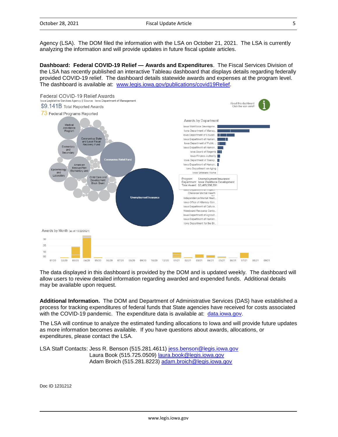Agency (LSA). The DOM filed the information with the LSA on October 21, 2021. The LSA is currently analyzing the information and will provide updates in future fiscal update articles.

**Dashboard: Federal COVID-19 Relief — Awards and Expenditures**. The Fiscal Services Division of the LSA has recently published an interactive Tableau dashboard that displays details regarding federally provided COVID-19 relief. The dashboard details statewide awards and expenses at the program level. The dashboard is available at: [www.legis.iowa.gov/publications/covid19Relief.](http://www.legis.iowa.gov/publications/covid19Relief)



The data displayed in this dashboard is provided by the DOM and is updated weekly. The dashboard will allow users to review detailed information regarding awarded and expended funds. Additional details may be available upon request.

**Additional Information.** The DOM and Department of Administrative Services (DAS) have established a process for tracking expenditures of federal funds that State agencies have received for costs associated with the COVID-19 pandemic. The expenditure data is available at: [data.iowa.gov.](https://pandemic-recovery.iowa.gov/#!/dashboard)

The LSA will continue to analyze the estimated funding allocations to Iowa and will provide future updates as more information becomes available. If you have questions about awards, allocations, or expenditures, please contact the LSA.

LSA Staff Contacts: Jess R. Benson (515.281.4611) [jess.benson@legis.iowa.gov](mailto:jess.benson@legis.iowa.gov) Laura Book (515.725.0509) [laura.book@legis.iowa.gov](mailto:laura.book@legis.iowa.gov) Adam Broich (515.281.8223) [adam.broich@legis.iowa.gov](mailto:adam.broich@legis.iowa.gov)

Doc ID 1231212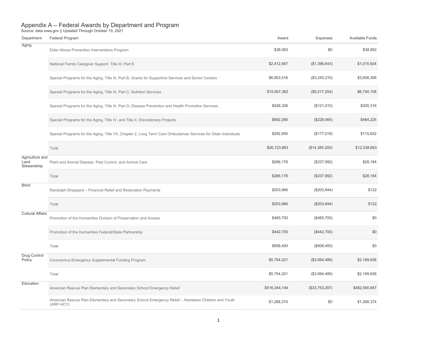| Department                             | Federal Program                                                                                                  | Award         | Expenses       | Available Funds |
|----------------------------------------|------------------------------------------------------------------------------------------------------------------|---------------|----------------|-----------------|
| Aging                                  | Elder Abuse Prevention Interventions Program                                                                     | \$38,952      | \$0            | \$38,952        |
|                                        | National Family Caregiver Support, Title III, Part E                                                             | \$2,412,567   | (\$1,396,643)  | \$1,015,924     |
|                                        | Special Programs for the Aging, Title III, Part B, Grants for Supportive Services and Senior Centers             | \$6,903,516   | (\$3,245,210)  | \$3,658,306     |
|                                        | Special Programs for the Aging, Title III, Part C, Nutrition Services                                            | \$15,957,362  | (\$9,217,254)  | \$6,740,108     |
|                                        | Special Programs for the Aging, Title III, Part D, Disease Prevention and Health Promotion Services              | \$426,326     | (\$121,010)    | \$305,316       |
|                                        | Special Programs for the Aging, Title IV, and Title II, Discretionary Projects                                   | \$692,290     | (\$228,065)    | \$464,225       |
|                                        | Special Programs for the Aging, Title VII, Chapter 2, Long Term Care Ombudsman Services for Older Individuals    | \$292,850     | (\$177,018)    | \$115,832       |
|                                        | Total                                                                                                            | \$26,723,863  | (\$14,385,200) | \$12,338,663    |
| Agriculture and<br>Land<br>Stewardship | Plant and Animal Disease, Pest Control, and Animal Care                                                          | \$266,176     | (\$237,992)    | \$28,184        |
|                                        | Total                                                                                                            | \$266,176     | (\$237,992)    | \$28,184        |
| <b>Blind</b>                           | Randolph-Sheppard - Financial Relief and Restoration Payments                                                    | \$203,966     | (\$203, 844)   | \$122           |
|                                        | Total                                                                                                            | \$203,966     | (\$203,844)    | \$122           |
| <b>Cultural Affairs</b>                | Promotion of the Humanities Division of Preservation and Access                                                  | \$465,700     | (\$465,700)    | \$0             |
|                                        | Promotion of the Humanities Federal/State Partnership                                                            | \$442,700     | (\$442,700)    | \$0             |
|                                        | Total                                                                                                            | \$908,400     | (\$908,400)    | \$0             |
| Drug Control<br>Policy                 | Coronavirus Emergency Supplemental Funding Program                                                               | \$5,754,321   | (\$3,564,485)  | \$2,189,836     |
|                                        | Total                                                                                                            | \$5,754,321   | (\$3,564,485)  | \$2,189,836     |
| Education                              | American Rescue Plan Elementary and Secondary School Emergency Relief                                            | \$516,344,144 | (\$33,753,297) | \$482,590,847   |
|                                        | American Rescue Plan Elementary and Secondary School Emergency Relief - Homeless Children and Youth<br>(ARP-HCY) | \$1,268,374   | \$0            | \$1,268,374     |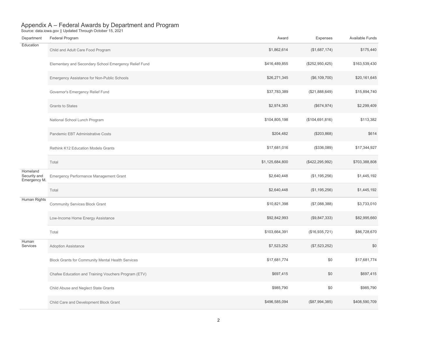| Department                               | Federal Program                                       | Award           | Expenses          | Available Funds |
|------------------------------------------|-------------------------------------------------------|-----------------|-------------------|-----------------|
| Education                                | Child and Adult Care Food Program                     | \$1,862,614     | (\$1,687,174)     | \$175,440       |
|                                          | Elementary and Secondary School Emergency Relief Fund | \$416,489,855   | (\$252,950,425)   | \$163,539,430   |
|                                          | Emergency Assistance for Non-Public Schools           | \$26,271,345    | (\$6, 109, 700)   | \$20,161,645    |
|                                          | Governor's Emergency Relief Fund                      | \$37,783,389    | (\$21,888,649)    | \$15,894,740    |
|                                          | Grants to States                                      | \$2,974,383     | (\$674,974)       | \$2,299,409     |
|                                          | National School Lunch Program                         | \$104,805,198   | (\$104,691,816)   | \$113,382       |
|                                          | Pandemic EBT Administrative Costs                     | \$204,482       | (\$203,868)       | \$614           |
|                                          | Rethink K12 Education Models Grants                   | \$17,681,016    | (\$336,089)       | \$17,344,927    |
|                                          | Total                                                 | \$1,125,684,800 | (\$422, 295, 992) | \$703,388,808   |
| Homeland<br>Security and<br>Emergency M. | Emergency Performance Management Grant                | \$2,640,448     | (\$1,195,256)     | \$1,445,192     |
|                                          | Total                                                 | \$2,640,448     | (\$1,195,256)     | \$1,445,192     |
| Human Rights                             | <b>Community Services Block Grant</b>                 | \$10,821,398    | (\$7,088,388)     | \$3,733,010     |
|                                          | Low-Income Home Energy Assistance                     | \$92,842,993    | (\$9,847,333)     | \$82,995,660    |
|                                          | Total                                                 | \$103,664,391   | (\$16,935,721)    | \$86,728,670    |
| Human<br>Services                        | Adoption Assistance                                   | \$7,523,252     | (\$7,523,252)     | \$0             |
|                                          | Block Grants for Community Mental Health Services     | \$17,681,774    | \$0               | \$17,681,774    |
|                                          | Chafee Education and Training Vouchers Program (ETV)  | \$697.415       | \$0               | \$697,415       |
|                                          | Child Abuse and Neglect State Grants                  | \$985,790       | \$0               | \$985,790       |
|                                          | Child Care and Development Block Grant                | \$496,585,094   | (\$87,994,385)    | \$408,590,709   |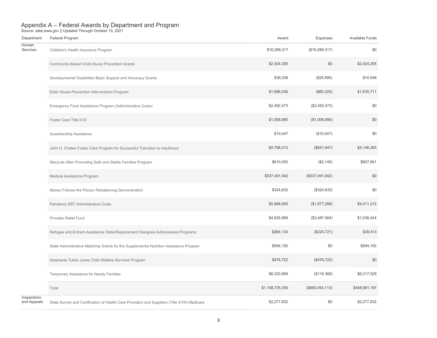| Department                 | Federal Program                                                                              | Award           | Expenses        | Available Funds |
|----------------------------|----------------------------------------------------------------------------------------------|-----------------|-----------------|-----------------|
| Human<br>Services          | Children's Health Insurance Program                                                          | \$16,288,317    | (\$16,288,317)  | \$0             |
|                            | Community-Based Child Abuse Prevention Grants                                                | \$2,424,305     | \$0             | \$2,424,305     |
|                            | Developmental Disabilities Basic Support and Advocacy Grants                                 | \$36,536        | (\$25,990)      | \$10,546        |
|                            | Elder Abuse Prevention Interventions Program                                                 | \$1,696,036     | (\$60,325)      | \$1,635,711     |
|                            | Emergency Food Assistance Program (Administrative Costs)                                     | \$2,492,473     | (\$2,492,473)   | \$0             |
|                            | Foster Care Title IV-E                                                                       | \$1,006,890     | (\$1,006,890)   | \$0             |
|                            | Guardianship Assistance                                                                      | \$10,047        | (\$10,047)      | \$0             |
|                            | John H. Chafee Foster Care Program for Successful Transition to Adulthood                    | \$4,798,212     | (\$651, 947)    | \$4,146,265     |
|                            | MaryLee Allen Promoting Safe and Stable Families Program                                     | \$610,050       | (\$2,149)       | \$607,901       |
|                            | Medical Assistance Program                                                                   | \$537,491,042   | (\$537,491,042) | \$0             |
|                            | Money Follows the Person Rebalancing Demonstration                                           | \$324,632       | (\$324,632)     | \$0             |
|                            | Pandemic EBT Administrative Costs                                                            | \$5,888,500     | (\$1,877,288)   | \$4,011,212     |
|                            | Provider Relief Fund                                                                         | \$4,525,988     | (\$3,487,564)   | \$1,038,424     |
|                            | Refugee and Entrant Assistance State/Replacement Designee Administered Programs              | \$264,134       | (\$224,721)     | \$39,413        |
|                            | State Administrative Matching Grants for the Supplemental Nutrition Assistance Program       | \$594,192       | \$0             | \$594,192       |
|                            | Stephanie Tubbs Jones Child Welfare Services Program                                         | \$476,722       | (\$476,722)     | \$0             |
|                            | Temporary Assistance for Needy Families                                                      | \$6,333,899     | (\$116,369)     | \$6,217,529     |
|                            | Total                                                                                        | \$1,108,735,300 | (\$660,054,113) | \$448,681,187   |
| Inspections<br>and Appeals | State Survey and Certification of Health Care Providers and Suppliers (Title XVIII) Medicare | \$2,277,832     | \$0             | \$2,277,832     |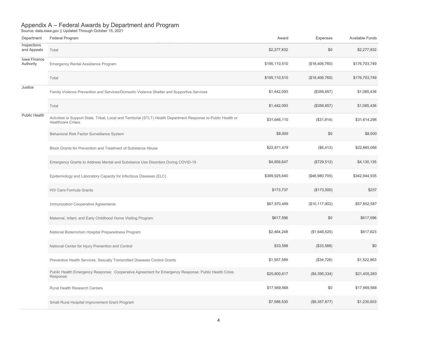| Department                 | Federal Program                                                                                                                              | Award         | Expenses         | Available Funds |
|----------------------------|----------------------------------------------------------------------------------------------------------------------------------------------|---------------|------------------|-----------------|
| Inspections<br>and Appeals | Total                                                                                                                                        | \$2,277,832   | \$0              | \$2,277,832     |
| Iowa Finance<br>Authority  | Emergency Rental Assistance Program                                                                                                          | \$195,110,510 | (\$18,406,760)   | \$176,703,749   |
|                            | Total                                                                                                                                        | \$195,110,510 | (\$18,406,760)   | \$176,703,749   |
| Justice                    | Family Violence Prevention and Services/Domestic Violence Shelter and Supportive Services                                                    | \$1,442,093   | (\$356,657)      | \$1,085,436     |
|                            | Total                                                                                                                                        | \$1,442,093   | (\$356,657)      | \$1,085,436     |
| <b>Public Health</b>       | Activities to Support State, Tribal, Local and Territorial (STLT) Health Department Response to Public Health or<br><b>Healthcare Crises</b> | \$31,646,110  | (\$31,814)       | \$31,614,296    |
|                            | Behavioral Risk Factor Surveillance System                                                                                                   | \$8,000       | \$0              | \$8,000         |
|                            | Block Grants for Prevention and Treatment of Substance Abuse                                                                                 | \$22,871,479  | (S6, 413)        | \$22,865,066    |
|                            | Emergency Grants to Address Mental and Substance Use Disorders During COVID-19                                                               | \$4,859,647   | (\$729,512)      | \$4,130,135     |
|                            | Epidemiology and Laboratory Capacity for Infectious Diseases (ELC)                                                                           | \$389,925,640 | (\$46,980,705)   | \$342,944,935   |
|                            | <b>HIV Care Formula Grants</b>                                                                                                               | \$173,737     | (\$173,500)      | \$237           |
|                            | Immunization Cooperative Agreements                                                                                                          | \$67,970,489  | (\$10, 117, 902) | \$57,852,587    |
|                            | Maternal, Infant, and Early Childhood Home Visiting Program                                                                                  | \$617,596     | \$0              | \$617,596       |
|                            | National Bioterrorism Hospital Preparedness Program                                                                                          | \$2,464,248   | (\$1,646,625)    | \$817,623       |
|                            | National Center for Injury Prevention and Control                                                                                            | \$33,588      | (\$33,588)       | \$0             |
|                            | Preventive Health Services: Sexually Transmitted Diseases Control Grants                                                                     | \$1,557,589   | (\$34,726)       | \$1,522,863     |
|                            | Public Health Emergency Response: Cooperative Agreement for Emergency Response: Public Health Crisis<br>Response                             | \$25,800,617  | (\$4,395,334)    | \$21,405,283    |
|                            | Rural Health Research Centers                                                                                                                | \$17,569,568  | \$0              | \$17,569,568    |
|                            | Small Rural Hospital Improvement Grant Program                                                                                               | \$7,588,530   | (\$6,357,877)    | \$1,230,653     |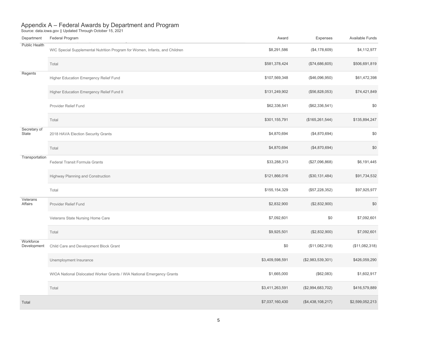| Department               | Federal Program                                                             | Award           | Expenses          | Available Funds |
|--------------------------|-----------------------------------------------------------------------------|-----------------|-------------------|-----------------|
| Public Health            | WIC Special Supplemental Nutrition Program for Women, Infants, and Children | \$8,291,586     | (\$4,178,609)     | \$4,112,977     |
|                          | Total                                                                       | \$581,378,424   | (\$74,686,605)    | \$506,691,819   |
| Regents                  | Higher Education Emergency Relief Fund                                      | \$107,569,348   | (\$46,096,950)    | \$61,472,398    |
|                          | Higher Education Emergency Relief Fund II                                   | \$131,249,902   | (\$56,828,053)    | \$74,421,849    |
|                          | Provider Relief Fund                                                        | \$62,336,541    | (\$62,336,541)    | \$0             |
|                          | Total                                                                       | \$301,155,791   | (\$165, 261, 544) | \$135,894,247   |
| Secretary of<br>State    | 2018 HAVA Election Security Grants                                          | \$4,870,694     | (\$4,870,694)     | \$0             |
|                          | Total                                                                       | \$4,870,694     | (\$4,870,694)     | \$0             |
| Transportation           | Federal Transit Formula Grants                                              | \$33,288,313    | (\$27,096,868)    | \$6,191,445     |
|                          | Highway Planning and Construction                                           | \$121,866,016   | (\$30,131,484)    | \$91,734,532    |
|                          | Total                                                                       | \$155,154,329   | (\$57,228,352)    | \$97,925,977    |
| Veterans<br>Affairs      | Provider Relief Fund                                                        | \$2,832,900     | (\$2,832,900)     | \$0             |
|                          | Veterans State Nursing Home Care                                            | \$7,092,601     | \$0               | \$7,092,601     |
|                          | Total                                                                       | \$9,925,501     | (\$2,832,900)     | \$7,092,601     |
| Workforce<br>Development | Child Care and Development Block Grant                                      | \$0             | (\$11,082,318)    | (\$11,082,318)  |
|                          | Unemployment Insurance                                                      | \$3,409,598,591 | (\$2,983,539,301) | \$426,059,290   |
|                          | WIOA National Dislocated Worker Grants / WIA National Emergency Grants      | \$1,665,000     | (\$62,083)        | \$1,602,917     |
|                          | Total                                                                       | \$3,411,263,591 | (\$2,994,683,702) | \$416,579,889   |
| Total                    |                                                                             | \$7,037,160,430 | (\$4,438,108,217) | \$2,599,052,213 |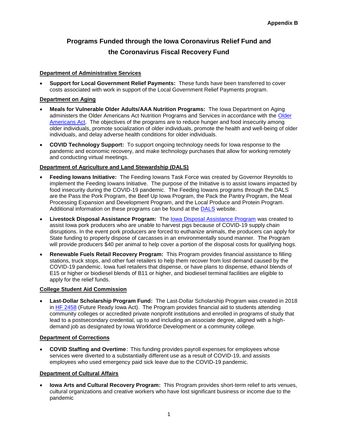# **Programs Funded through the Iowa Coronavirus Relief Fund and the Coronavirus Fiscal Recovery Fund**

### **Department of Administrative Services**

• **Support for Local Government Relief Payments:** These funds have been transferred to cover costs associated with work in support of the Local Government Relief Payments program.

#### **Department on Aging**

- **Meals for Vulnerable Older Adults/AAA Nutrition Programs:** The Iowa Department on Aging administers the [Older](https://www.ncoa.org/public-policy-action/older-americans-act/) Americans Act Nutrition Programs and Services in accordance with the Older [Americans Act.](https://www.ncoa.org/public-policy-action/older-americans-act/) The objectives of the programs are to reduce hunger and food insecurity among older individuals, promote socialization of older individuals, promote the health and well-being of older individuals, and delay adverse health conditions for older individuals.
- **COVID Technology Support:** To support ongoing technology needs for Iowa response to the pandemic and economic recovery, and make technology purchases that allow for working remotely and conducting virtual meetings.

#### **Department of Agriculture and Land Stewardship (DALS)**

- **Feeding Iowans Initiative:** The Feeding Iowans Task Force was created by Governor Reynolds to implement the Feeding Iowans Initiative. The purpose of the Initiative is to assist Iowans impacted by food insecurity during the COVID-19 pandemic.The Feeding Iowans programs through the DALS are the Pass the Pork Program, the Beef Up Iowa Program, the Pack the Pantry Program, the Meat Processing Expansion and Development Program, and the Local Produce and Protein Program. Additional information on these programs can be found at the [DALS](https://iowaagriculture.gov/) website.
- **Livestock Disposal Assistance Program:** The [Iowa Disposal Assistance Program](https://iowaagriculture.gov/idap) was created to assist Iowa pork producers who are unable to harvest pigs because of COVID-19 supply chain disruptions. In the event pork producers are forced to euthanize animals, the producers can apply for State funding to properly dispose of carcasses in an environmentally sound manner. The Program will provide producers \$40 per animal to help cover a portion of the disposal costs for qualifying hogs.
- **Renewable Fuels Retail Recovery Program:** This Program provides financial assistance to filling stations, truck stops, and other fuel retailers to help them recover from lost demand caused by the COVID-19 pandemic. Iowa fuel retailers that dispense, or have plans to dispense, ethanol blends of E15 or higher or biodiesel blends of B11 or higher, and biodiesel terminal facilities are eligible to apply for the relief funds.

#### **College Student Aid Commission**

• **Last-Dollar Scholarship Program Fund:** The Last-Dollar Scholarship Program was created in 2018 in [HF 2458](https://www.legis.iowa.gov/docs/publications/LGE/87/HF2458.pdf) (Future Ready Iowa Act). The Program provides financial aid to students attending community colleges or accredited private nonprofit institutions and enrolled in programs of study that lead to a postsecondary credential, up to and including an associate degree, aligned with a highdemand job as designated by Iowa Workforce Development or a community college.

#### **Department of Corrections**

• **COVID Staffing and Overtime**: This funding provides payroll expenses for employees whose services were diverted to a substantially different use as a result of COVID-19, and assists employees who used emergency paid sick leave due to the COVID-19 pandemic.

#### **Department of Cultural Affairs**

• **Iowa Arts and Cultural Recovery Program:** This Program provides short-term relief to arts venues, cultural organizations and creative workers who have lost significant business or income due to the pandemic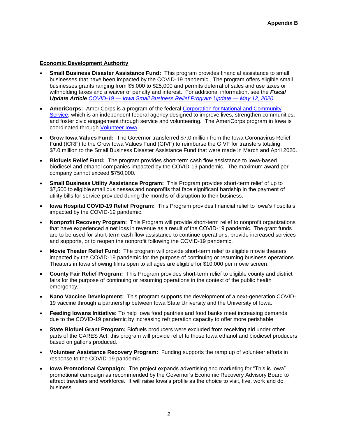#### **Economic Development Authority**

- **Small Business Disaster Assistance Fund:** This program provides financial assistance to small businesses that have been impacted by the COVID-19 pandemic. The program offers eligible small businesses grants ranging from \$5,000 to \$25,000 and permits deferral of sales and use taxes or withholding taxes and a waiver of penalty and interest. For additional information, see the *Fiscal Update Article COVID-19 — [Iowa Small Business Relief Program Update —](https://www.legis.iowa.gov/docs/publications/BL/1136287.pdf) May 12, 2020*.
- **AmeriCorps:** AmeriCorps is a program of the federal [Corporation for National and Community](https://www.nationalservice.gov/)  [Service,](https://www.nationalservice.gov/) which is an independent federal agency designed to improve lives, strengthen communities, and foster civic engagement through service and volunteering. The AmeriCorps program in Iowa is coordinated through [Volunteer Iowa.](https://www.legis.iowa.gov/docs/publications/BL/1136431.pdf)
- **Grow Iowa Values Fund:** The Governor transferred \$7.0 million from the Iowa Coronavirus Relief Fund (ICRF) to the Grow Iowa Values Fund (GIVF) to reimburse the GIVF for transfers totaling \$7.0 million to the Small Business Disaster Assistance Fund that were made in March and April 2020.
- **Biofuels Relief Fund:** The program provides short-term cash flow assistance to Iowa-based biodiesel and ethanol companies impacted by the COVID-19 pandemic. The maximum award per company cannot exceed \$750,000.
- **Small Business Utility Assistance Program:** This Program provides short-term relief of up to \$7,500 to eligible small businesses and nonprofits that face significant hardship in the payment of utility bills for service provided during the months of disruption to their business.
- **Iowa Hospital COVID-19 Relief Program:** This Program provides financial relief to Iowa's hospitals impacted by the COVID-19 pandemic.
- **Nonprofit Recovery Program:** This Program will provide short-term relief to nonprofit organizations that have experienced a net loss in revenue as a result of the COVID-19 pandemic.  The grant funds are to be used for short-term cash flow assistance to continue operations, provide increased services and supports, or to reopen the nonprofit following the COVID-19 pandemic.
- **Movie Theater Relief Fund:** The program will provide short-term relief to eligible movie theaters impacted by the COVID-19 pandemic for the purpose of continuing or resuming business operations. Theaters in Iowa showing films open to all ages are eligible for \$10,000 per movie screen.
- **County Fair Relief Program:** This Program provides short-term relief to eligible county and district fairs for the purpose of continuing or resuming operations in the context of the public health emergency.
- **Nano Vaccine Development:** This program supports the development of a next-generation COVID-19 vaccine through a partnership between Iowa State University and the University of Iowa.
- **Feeding Iowans Initiative:** To help Iowa food pantries and food banks meet increasing demands due to the COVID-19 pandemic by increasing refrigeration capacity to offer more perishable
- **State Biofuel Grant Program:** Biofuels producers were excluded from receiving aid under other parts of the CARES Act; this program will provide relief to those Iowa ethanol and biodiesel producers based on gallons produced.
- **Volunteer Assistance Recovery Program:** Funding supports the ramp up of volunteer efforts in response to the COVID-19 pandemic.
- **Iowa Promotional Campaign:** The project expands advertising and marketing for "This is Iowa" promotional campaign as recommended by the Governor's Economic Recovery Advisory Board to attract travelers and workforce. It will raise Iowa's profile as the choice to visit, live, work and do business.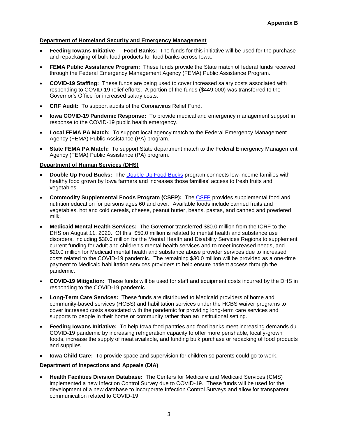#### **Department of Homeland Security and Emergency Management**

- **Feeding Iowans Initiative — Food Banks:** The funds for this initiative will be used for the purchase and repackaging of bulk food products for food banks across Iowa.
- **FEMA Public Assistance Program:** These funds provide the State match of federal funds received through the Federal Emergency Management Agency (FEMA) Public Assistance Program.
- **COVID-19 Staffing:** These funds are being used to cover increased salary costs associated with responding to COVID-19 relief efforts. A portion of the funds (\$449,000) was transferred to the Governor's Office for increased salary costs.
- **CRF Audit:** To support audits of the Coronavirus Relief Fund.
- **Iowa COVID-19 Pandemic Response:** To provide medical and emergency management support in response to the COVID-19 public health emergency.
- **Local FEMA PA Match:** To support local agency match to the Federal Emergency Management Agency (FEMA) Public Assistance (PA) program.
- **State FEMA PA Match:** To support State department match to the Federal Emergency Management Agency (FEMA) Public Assistance (PA) program.

#### **Department of Human Services (DHS)**

- **Double Up Food Bucks:** The [Double Up Food Bucks](http://www.iowahealthieststate.com/resources/communities/double-up-food-bucks/) program connects low-income families with healthy food grown by Iowa farmers and increases those families' access to fresh fruits and vegetables.
- **Commodity Supplemental Foods Program (CSFP):** The [CSFP](https://dhs.iowa.gov/food-assistance/related-programs/commodity-program) provides supplemental food and nutrition education for persons ages 60 and over. Available foods include canned fruits and vegetables, hot and cold cereals, cheese, peanut butter, beans, pastas, and canned and powdered milk.
- **Medicaid Mental Health Services:** The Governor transferred \$80.0 million from the ICRF to the DHS on August 11, 2020. Of this, \$50.0 million is related to mental health and substance use disorders, including \$30.0 million for the Mental Health and Disability Services Regions to supplement current funding for adult and children's mental health services and to meet increased needs, and \$20.0 million for Medicaid mental health and substance abuse provider services due to increased costs related to the COVID-19 pandemic. The remaining \$30.0 million will be provided as a one-time payment to Medicaid habilitation services providers to help ensure patient access through the pandemic.
- **COVID-19 Mitigation:** These funds will be used for staff and equipment costs incurred by the DHS in responding to the COVID-19 pandemic.
- **Long-Term Care Services:** These funds are distributed to Medicaid providers of home and community-based services (HCBS) and habilitation services under the HCBS waiver programs to cover increased costs associated with the pandemic for providing long-term care services and supports to people in their home or community rather than an institutional setting.
- **Feeding Iowans Initiative:** To help Iowa food pantries and food banks meet increasing demands du COVID-19 pandemic by increasing refrigeration capacity to offer more perishable, locally-grown foods, increase the supply of meat available, and funding bulk purchase or repacking of food products and supplies.
- **Iowa Child Care:** To provide space and supervision for children so parents could go to work.

#### **Department of Inspections and Appeals (DIA)**

• **Health Facilities Division Database:** The Centers for Medicare and Medicaid Services (CMS) implemented a new Infection Control Survey due to COVID-19. These funds will be used for the development of a new database to incorporate Infection Control Surveys and allow for transparent communication related to COVID-19.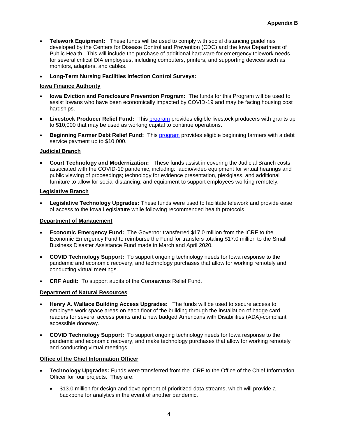- **Telework Equipment:** These funds will be used to comply with social distancing guidelines developed by the Centers for Disease Control and Prevention (CDC) and the Iowa Department of Public Health. This will include the purchase of additional hardware for emergency telework needs for several critical DIA employees, including computers, printers, and supporting devices such as monitors, adapters, and cables.
- **Long-Term Nursing Facilities Infection Control Surveys:**

#### **Iowa Finance Authority**

- **Iowa Eviction and Foreclosure Prevention Program:** The funds for this Program will be used to assist Iowans who have been economically impacted by COVID-19 and may be facing housing cost hardships.
- **Livestock Producer Relief Fund:** This **program** provides eligible livestock producers with grants up to \$10,000 that may be used as working capital to continue operations.
- **Beginning Farmer Debt Relief Fund:** This [program](https://www.iowaeconomicdevelopment.com/ag-relief#beginningfarmer) provides eligible beginning farmers with a debt service payment up to \$10,000.

#### **Judicial Branch**

• **Court Technology and Modernization:** These funds assist in covering the Judicial Branch costs associated with the COVID-19 pandemic, including: audio/video equipment for virtual hearings and public viewing of proceedings; technology for evidence presentation, plexiglass, and additional furniture to allow for social distancing; and equipment to support employees working remotely.

#### **Legislative Branch**

• **Legislative Technology Upgrades:** These funds were used to facilitate telework and provide ease of access to the Iowa Legislature while following recommended health protocols.

#### **Department of Management**

- **Economic Emergency Fund:** The Governor transferred \$17.0 million from the ICRF to the Economic Emergency Fund to reimburse the Fund for transfers totaling \$17.0 million to the Small Business Disaster Assistance Fund made in March and April 2020.
- **COVID Technology Support:** To support ongoing technology needs for Iowa response to the pandemic and economic recovery, and technology purchases that allow for working remotely and conducting virtual meetings.
- **CRF Audit:** To support audits of the Coronavirus Relief Fund.

#### **Department of Natural Resources**

- **Henry A. Wallace Building Access Upgrades:** The funds will be used to secure access to employee work space areas on each floor of the building through the installation of badge card readers for several access points and a new badged Americans with Disabilities (ADA)-compliant accessible doorway.
- **COVID Technology Support:** To support ongoing technology needs for Iowa response to the pandemic and economic recovery, and make technology purchases that allow for working remotely and conducting virtual meetings.

#### **Office of the Chief Information Officer**

- **Technology Upgrades:** Funds were transferred from the ICRF to the Office of the Chief Information Officer for four projects. They are:
	- \$13.0 million for design and development of prioritized data streams, which will provide a backbone for analytics in the event of another pandemic.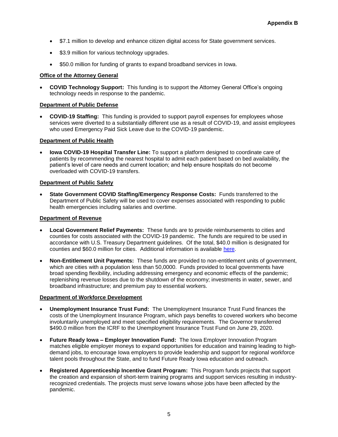- \$7.1 million to develop and enhance citizen digital access for State government services.
- \$3.9 million for various technology upgrades.
- \$50.0 million for funding of grants to expand broadband services in Iowa.

#### **Office of the Attorney General**

• **COVID Technology Support:** This funding is to support the Attorney General Office's ongoing technology needs in response to the pandemic.

#### **Department of Public Defense**

• **COVID-19 Staffing:** This funding is provided to support payroll expenses for employees whose services were diverted to a substantially different use as a result of COVID-19, and assist employees who used Emergency Paid Sick Leave due to the COVID-19 pandemic.

#### **Department of Public Health**

• **Iowa COVID-19 Hospital Transfer Line:** To support a platform designed to coordinate care of patients by recommending the nearest hospital to admit each patient based on bed availability, the patient's level of care needs and current location; and help ensure hospitals do not become overloaded with COVID-19 transfers.

#### **Department of Public Safety**

• **State Government COVID Staffing/Emergency Response Costs:** Funds transferred to the Department of Public Safety will be used to cover expenses associated with responding to public health emergencies including salaries and overtime.

#### **Department of Revenue**

- **Local Government Relief Payments:** These funds are to provide reimbursements to cities and counties for costs associated with the COVID-19 pandemic. The funds are required to be used in accordance with U.S. Treasury Department guidelines. Of the total, \$40.0 million is designated for counties and \$60.0 million for cities. Additional information is available [here.](https://coronavirus.iowa.gov/pages/local-reimbursement)
- **Non-Entitlement Unit Payments:** These funds are provided to non-entitlement units of government, which are cities with a population less than 50,0000. Funds provided to local governments have broad spending flexibility, including addressing emergency and economic effects of the pandemic; replenishing revenue losses due to the shutdown of the economy; investments in water, sewer, and broadband infrastructure; and premium pay to essential workers.

#### **Department of Workforce Development**

- **Unemployment Insurance Trust Fund:** The Unemployment Insurance Trust Fund finances the costs of the Unemployment Insurance Program, which pays benefits to covered workers who become involuntarily unemployed and meet specified eligibility requirements. The Governor transferred \$490.0 million from the ICRF to the Unemployment Insurance Trust Fund on June 29, 2020.
- **Future Ready Iowa – Employer Innovation Fund:** The Iowa Employer Innovation Program matches eligible employer moneys to expand opportunities for education and training leading to highdemand jobs, to encourage Iowa employers to provide leadership and support for regional workforce talent pools throughout the State, and to fund Future Ready Iowa education and outreach.
- **Registered Apprenticeship Incentive Grant Program:** This Program funds projects that support the creation and expansion of short-term training programs and support services resulting in industryrecognized credentials. The projects must serve Iowans whose jobs have been affected by the pandemic.